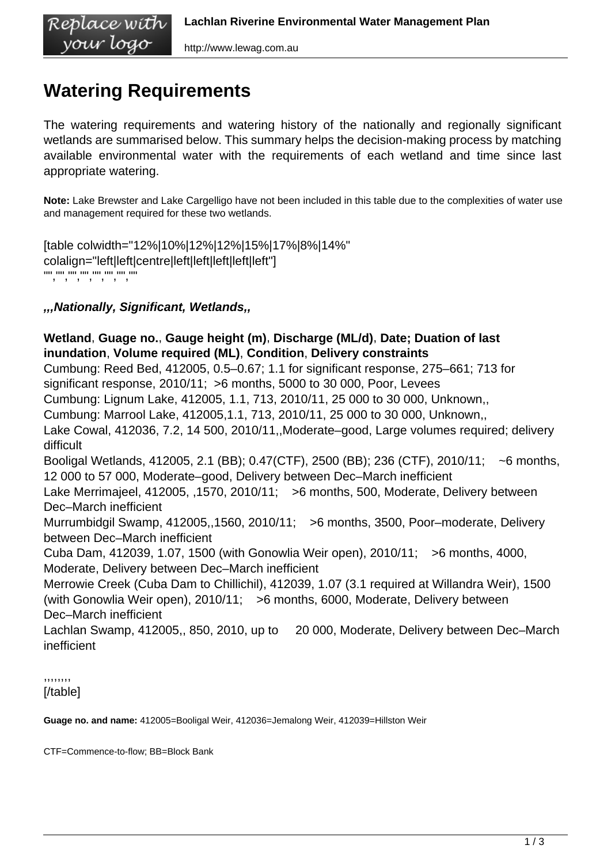# **Watering Requirements**

The watering requirements and watering history of the nationally and regionally significant wetlands are summarised below. This summary helps the decision-making process by matching available environmental water with the requirements of each wetland and time since last appropriate watering.

**Note:** Lake Brewster and Lake Cargelligo have not been included in this table due to the complexities of water use and management required for these two wetlands.

[table colwidth="12%|10%|12%|12%|15%|17%|8%|14%" colalign="left|left|centre|left|left|left|left|left"] "","","","","","","",""

### **,,,Nationally, Significant, Wetlands,,**

**Wetland**, **Guage no.**, **Gauge height (m)**, **Discharge (ML/d)**, **Date; Duation of last inundation**, **Volume required (ML)**, **Condition**, **Delivery constraints** Cumbung: Reed Bed, 412005, 0.5–0.67; 1.1 for significant response, 275–661; 713 for significant response, 2010/11; >6 months, 5000 to 30 000, Poor, Levees Cumbung: Lignum Lake, 412005, 1.1, 713, 2010/11, 25 000 to 30 000, Unknown,, Cumbung: Marrool Lake, 412005,1.1, 713, 2010/11, 25 000 to 30 000, Unknown,, Lake Cowal, 412036, 7.2, 14 500, 2010/11,,Moderate–good, Large volumes required; delivery difficult Booligal Wetlands, 412005, 2.1 (BB); 0.47(CTF), 2500 (BB); 236 (CTF), 2010/11; ~6 months, 12 000 to 57 000, Moderate–good, Delivery between Dec–March inefficient Lake Merrimajeel, 412005, 1570, 2010/11; >6 months, 500, Moderate, Delivery between Dec–March inefficient Murrumbidgil Swamp, 412005,,1560, 2010/11; >6 months, 3500, Poor–moderate, Delivery between Dec–March inefficient Cuba Dam, 412039, 1.07, 1500 (with Gonowlia Weir open), 2010/11; >6 months, 4000, Moderate, Delivery between Dec–March inefficient Merrowie Creek (Cuba Dam to Chillichil), 412039, 1.07 (3.1 required at Willandra Weir), 1500 (with Gonowlia Weir open), 2010/11; >6 months, 6000, Moderate, Delivery between Dec–March inefficient Lachlan Swamp, 412005,, 850, 2010, up to 20 000, Moderate, Delivery between Dec–March inefficient

,,,,,,,, [/table]

**Guage no. and name:** 412005=Booligal Weir, 412036=Jemalong Weir, 412039=Hillston Weir

CTF=Commence-to-flow; BB=Block Bank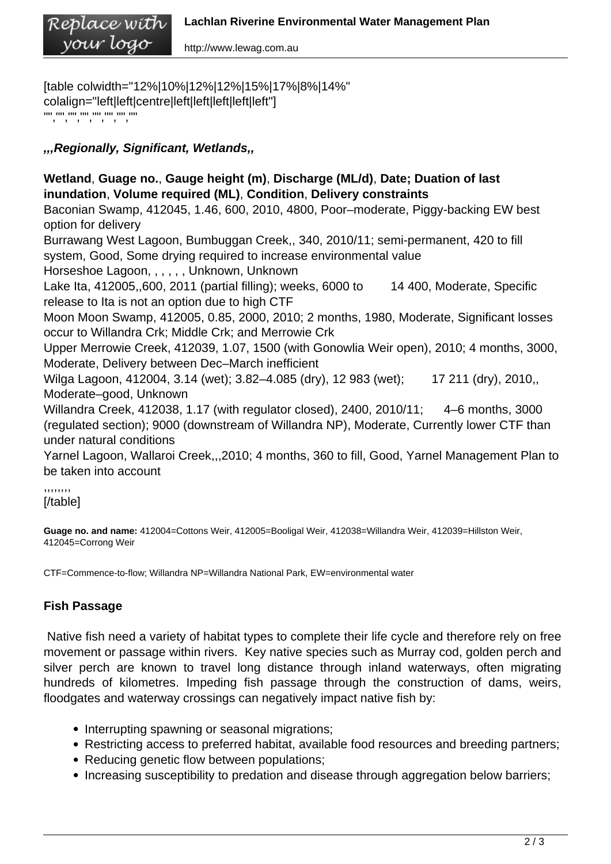http://www.lewag.com.au

[table colwidth="12%|10%|12%|12%|15%|17%|8%|14%" colalign="left|left|centre|left|left|left|left|left"] "","","","","","","",""

## **,,,Regionally, Significant, Wetlands,,**

**Wetland**, **Guage no.**, **Gauge height (m)**, **Discharge (ML/d)**, **Date; Duation of last inundation**, **Volume required (ML)**, **Condition**, **Delivery constraints** Baconian Swamp, 412045, 1.46, 600, 2010, 4800, Poor–moderate, Piggy-backing EW best option for delivery Burrawang West Lagoon, Bumbuggan Creek,, 340, 2010/11; semi-permanent, 420 to fill system, Good, Some drying required to increase environmental value Horseshoe Lagoon, , , , , , Unknown, Unknown Lake Ita, 412005,,600, 2011 (partial filling); weeks, 6000 to 14 400, Moderate, Specific release to Ita is not an option due to high CTF Moon Moon Swamp, 412005, 0.85, 2000, 2010; 2 months, 1980, Moderate, Significant losses occur to Willandra Crk; Middle Crk; and Merrowie Crk Upper Merrowie Creek, 412039, 1.07, 1500 (with Gonowlia Weir open), 2010; 4 months, 3000, Moderate, Delivery between Dec–March inefficient Wilga Lagoon, 412004, 3.14 (wet); 3.82–4.085 (dry), 12 983 (wet); 17 211 (dry), 2010, Moderate–good, Unknown Willandra Creek, 412038, 1.17 (with regulator closed), 2400, 2010/11; 4–6 months, 3000 (regulated section); 9000 (downstream of Willandra NP), Moderate, Currently lower CTF than

under natural conditions Yarnel Lagoon, Wallaroi Creek,,,2010; 4 months, 360 to fill, Good, Yarnel Management Plan to

be taken into account

,,,,,,,, [/table]

**Guage no. and name:** 412004=Cottons Weir, 412005=Booligal Weir, 412038=Willandra Weir, 412039=Hillston Weir, 412045=Corrong Weir

CTF=Commence-to-flow; Willandra NP=Willandra National Park, EW=environmental water

# **Fish Passage**

 Native fish need a variety of habitat types to complete their life cycle and therefore rely on free movement or passage within rivers. Key native species such as Murray cod, golden perch and silver perch are known to travel long distance through inland waterways, often migrating hundreds of kilometres. Impeding fish passage through the construction of dams, weirs, floodgates and waterway crossings can negatively impact native fish by:

- Interrupting spawning or seasonal migrations;
- Restricting access to preferred habitat, available food resources and breeding partners;
- Reducing genetic flow between populations;
- Increasing susceptibility to predation and disease through aggregation below barriers;